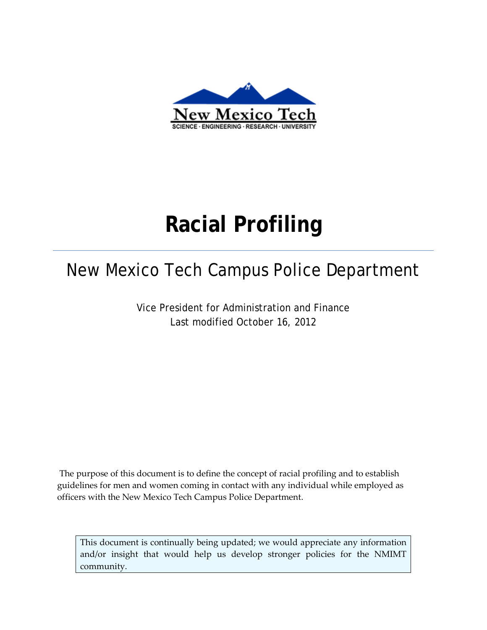

# **Racial Profiling**

## New Mexico Tech Campus Police Department

Vice President for Administration and Finance Last modified October 16, 2012

The purpose of this document is to define the concept of racial profiling and to establish guidelines for men and women coming in contact with any individual while employed as officers with the New Mexico Tech Campus Police Department.

This document is continually being updated; we would appreciate any information and/or insight that would help us develop stronger policies for the NMIMT community.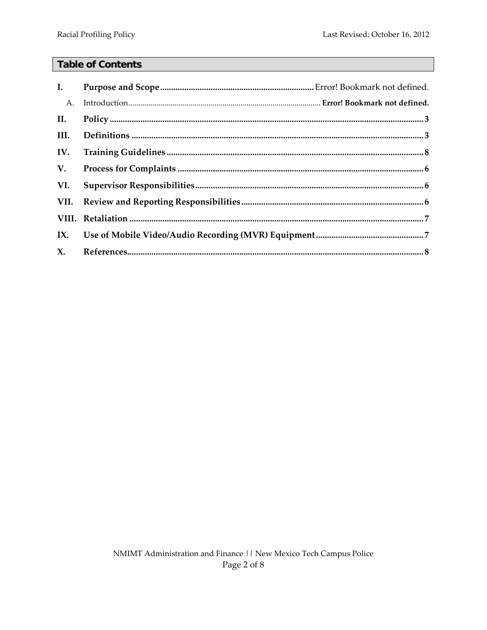### **Table of Contents**

| I.             |  |
|----------------|--|
| A.             |  |
| II.            |  |
| III.           |  |
| IV.            |  |
| V.             |  |
| VI.            |  |
|                |  |
|                |  |
|                |  |
| $\mathbf{X}$ . |  |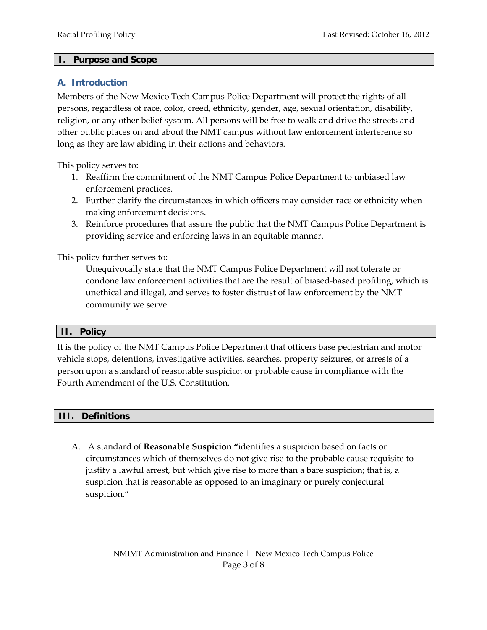#### **I. Purpose and Scope**

#### **A. Introduction**

Members of the New Mexico Tech Campus Police Department will protect the rights of all persons, regardless of race, color, creed, ethnicity, gender, age, sexual orientation, disability, religion, or any other belief system. All persons will be free to walk and drive the streets and other public places on and about the NMT campus without law enforcement interference so long as they are law abiding in their actions and behaviors.

This policy serves to:

- 1. Reaffirm the commitment of the NMT Campus Police Department to unbiased law enforcement practices.
- 2. Further clarify the circumstances in which officers may consider race or ethnicity when making enforcement decisions.
- 3. Reinforce procedures that assure the public that the NMT Campus Police Department is providing service and enforcing laws in an equitable manner.

This policy further serves to:

Unequivocally state that the NMT Campus Police Department will not tolerate or condone law enforcement activities that are the result of biased-based profiling, which is unethical and illegal, and serves to foster distrust of law enforcement by the NMT community we serve.

#### **II. Policy**

It is the policy of the NMT Campus Police Department that officers base pedestrian and motor vehicle stops, detentions, investigative activities, searches, property seizures, or arrests of a person upon a standard of reasonable suspicion or probable cause in compliance with the Fourth Amendment of the U.S. Constitution.

#### **III. Definitions**

A. A standard of **Reasonable Suspicion "**identifies a suspicion based on facts or circumstances which of themselves do not give rise to the probable cause requisite to justify a lawful arrest, but which give rise to more than a bare suspicion; that is, a suspicion that is reasonable as opposed to an imaginary or purely conjectural suspicion."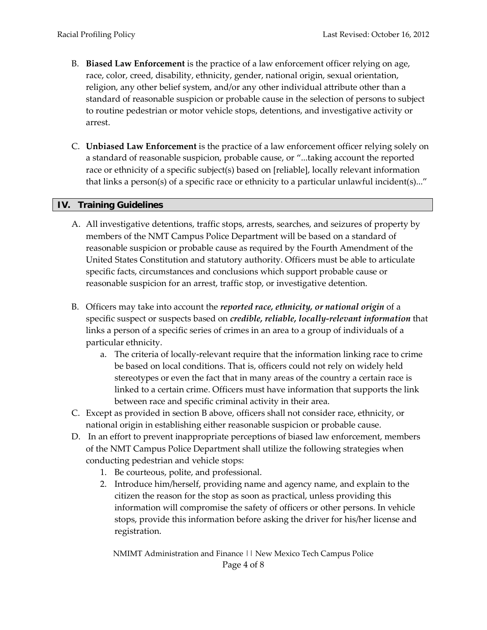- B. **Biased Law Enforcement** is the practice of a law enforcement officer relying on age, race, color, creed, disability, ethnicity, gender, national origin, sexual orientation, religion, any other belief system, and/or any other individual attribute other than a standard of reasonable suspicion or probable cause in the selection of persons to subject to routine pedestrian or motor vehicle stops, detentions, and investigative activity or arrest.
- C. **Unbiased Law Enforcement** is the practice of a law enforcement officer relying solely on a standard of reasonable suspicion, probable cause, or "...taking account the reported race or ethnicity of a specific subject(s) based on [reliable], locally relevant information that links a person(s) of a specific race or ethnicity to a particular unlawful incident(s)..."

#### **IV. Training Guidelines**

- A. All investigative detentions, traffic stops, arrests, searches, and seizures of property by members of the NMT Campus Police Department will be based on a standard of reasonable suspicion or probable cause as required by the Fourth Amendment of the United States Constitution and statutory authority. Officers must be able to articulate specific facts, circumstances and conclusions which support probable cause or reasonable suspicion for an arrest, traffic stop, or investigative detention.
- B. Officers may take into account the *reported race, ethnicity, or national origin* of a specific suspect or suspects based on *credible, reliable, locally-relevant information* that links a person of a specific series of crimes in an area to a group of individuals of a particular ethnicity.
	- a. The criteria of locally-relevant require that the information linking race to crime be based on local conditions. That is, officers could not rely on widely held stereotypes or even the fact that in many areas of the country a certain race is linked to a certain crime. Officers must have information that supports the link between race and specific criminal activity in their area.
- C. Except as provided in section B above, officers shall not consider race, ethnicity, or national origin in establishing either reasonable suspicion or probable cause.
- D. In an effort to prevent inappropriate perceptions of biased law enforcement, members of the NMT Campus Police Department shall utilize the following strategies when conducting pedestrian and vehicle stops:
	- 1. Be courteous, polite, and professional.
	- 2. Introduce him/herself, providing name and agency name, and explain to the citizen the reason for the stop as soon as practical, unless providing this information will compromise the safety of officers or other persons. In vehicle stops, provide this information before asking the driver for his/her license and registration.

NMIMT Administration and Finance || New Mexico Tech Campus Police Page 4 of 8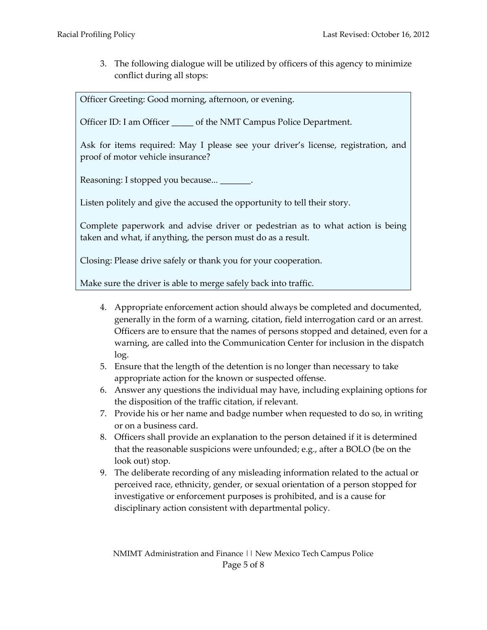3. The following dialogue will be utilized by officers of this agency to minimize conflict during all stops:

Officer Greeting: Good morning, afternoon, or evening.

Officer ID: I am Officer \_\_\_\_\_ of the NMT Campus Police Department.

Ask for items required: May I please see your driver's license, registration, and proof of motor vehicle insurance?

Reasoning: I stopped you because...  $\qquad \qquad$ .

Listen politely and give the accused the opportunity to tell their story.

Complete paperwork and advise driver or pedestrian as to what action is being taken and what, if anything, the person must do as a result.

Closing: Please drive safely or thank you for your cooperation.

Make sure the driver is able to merge safely back into traffic.

- 4. Appropriate enforcement action should always be completed and documented, generally in the form of a warning, citation, field interrogation card or an arrest. Officers are to ensure that the names of persons stopped and detained, even for a warning, are called into the Communication Center for inclusion in the dispatch log.
- 5. Ensure that the length of the detention is no longer than necessary to take appropriate action for the known or suspected offense.
- 6. Answer any questions the individual may have, including explaining options for the disposition of the traffic citation, if relevant.
- 7. Provide his or her name and badge number when requested to do so, in writing or on a business card.
- 8. Officers shall provide an explanation to the person detained if it is determined that the reasonable suspicions were unfounded; e.g., after a BOLO (be on the look out) stop.
- 9. The deliberate recording of any misleading information related to the actual or perceived race, ethnicity, gender, or sexual orientation of a person stopped for investigative or enforcement purposes is prohibited, and is a cause for disciplinary action consistent with departmental policy.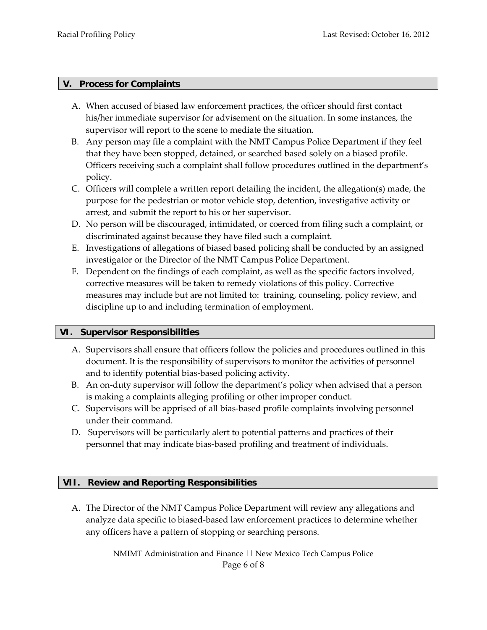#### **V. Process for Complaints**

- A. When accused of biased law enforcement practices, the officer should first contact his/her immediate supervisor for advisement on the situation. In some instances, the supervisor will report to the scene to mediate the situation.
- B. Any person may file a complaint with the NMT Campus Police Department if they feel that they have been stopped, detained, or searched based solely on a biased profile. Officers receiving such a complaint shall follow procedures outlined in the department's policy.
- C. Officers will complete a written report detailing the incident, the allegation(s) made, the purpose for the pedestrian or motor vehicle stop, detention, investigative activity or arrest, and submit the report to his or her supervisor.
- D. No person will be discouraged, intimidated, or coerced from filing such a complaint, or discriminated against because they have filed such a complaint.
- E. Investigations of allegations of biased based policing shall be conducted by an assigned investigator or the Director of the NMT Campus Police Department.
- F. Dependent on the findings of each complaint, as well as the specific factors involved, corrective measures will be taken to remedy violations of this policy. Corrective measures may include but are not limited to: training, counseling, policy review, and discipline up to and including termination of employment.

#### **VI. Supervisor Responsibilities**

- A. Supervisors shall ensure that officers follow the policies and procedures outlined in this document. It is the responsibility of supervisors to monitor the activities of personnel and to identify potential bias-based policing activity.
- B. An on-duty supervisor will follow the department's policy when advised that a person is making a complaints alleging profiling or other improper conduct.
- C. Supervisors will be apprised of all bias-based profile complaints involving personnel under their command.
- D. Supervisors will be particularly alert to potential patterns and practices of their personnel that may indicate bias-based profiling and treatment of individuals.

#### **VII. Review and Reporting Responsibilities**

A. The Director of the NMT Campus Police Department will review any allegations and analyze data specific to biased-based law enforcement practices to determine whether any officers have a pattern of stopping or searching persons.

> NMIMT Administration and Finance || New Mexico Tech Campus Police Page 6 of 8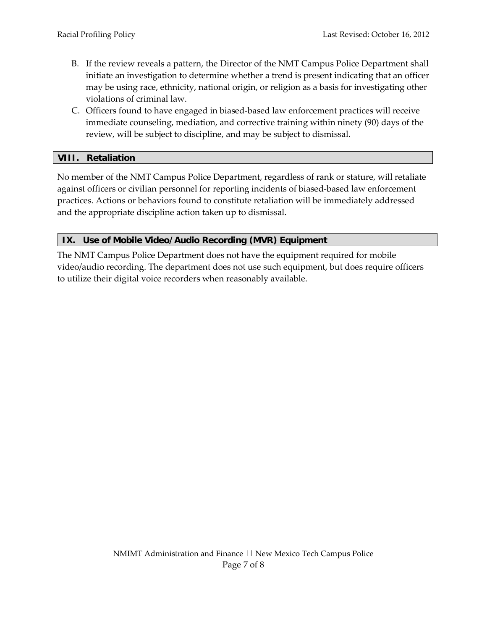- B. If the review reveals a pattern, the Director of the NMT Campus Police Department shall initiate an investigation to determine whether a trend is present indicating that an officer may be using race, ethnicity, national origin, or religion as a basis for investigating other violations of criminal law.
- C. Officers found to have engaged in biased-based law enforcement practices will receive immediate counseling, mediation, and corrective training within ninety (90) days of the review, will be subject to discipline, and may be subject to dismissal.

#### **VIII. Retaliation**

No member of the NMT Campus Police Department, regardless of rank or stature, will retaliate against officers or civilian personnel for reporting incidents of biased-based law enforcement practices. Actions or behaviors found to constitute retaliation will be immediately addressed and the appropriate discipline action taken up to dismissal.

#### **IX. Use of Mobile Video/Audio Recording (MVR) Equipment**

The NMT Campus Police Department does not have the equipment required for mobile video/audio recording. The department does not use such equipment, but does require officers to utilize their digital voice recorders when reasonably available.